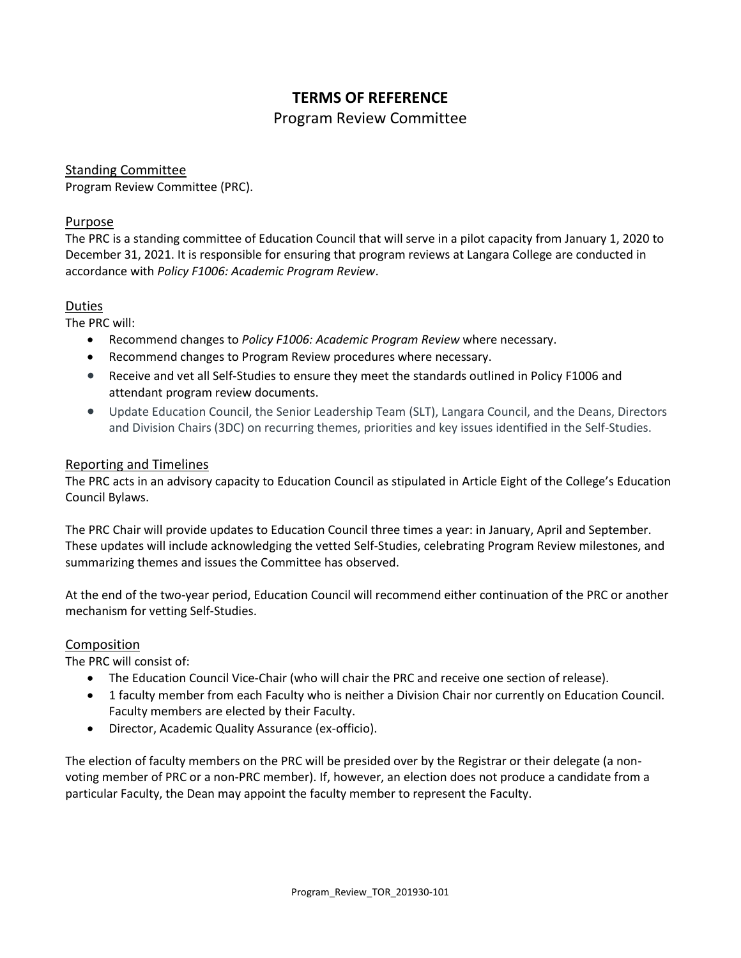# **TERMS OF REFERENCE**

## Program Review Committee

#### Standing Committee

Program Review Committee (PRC).

#### Purpose

The PRC is a standing committee of Education Council that will serve in a pilot capacity from January 1, 2020 to December 31, 2021. It is responsible for ensuring that program reviews at Langara College are conducted in accordance with *Policy F1006: Academic Program Review*.

### Duties

The PRC will:

- Recommend changes to *Policy F1006: Academic Program Review* where necessary.
- Recommend changes to Program Review procedures where necessary.
- Receive and vet all Self-Studies to ensure they meet the standards outlined in Policy F1006 and attendant program review documents.
- Update Education Council, the Senior Leadership Team (SLT), Langara Council, and the Deans, Directors and Division Chairs (3DC) on recurring themes, priorities and key issues identified in the Self-Studies.

### Reporting and Timelines

The PRC acts in an advisory capacity to Education Council as stipulated in Article Eight of the College's Education Council Bylaws.

The PRC Chair will provide updates to Education Council three times a year: in January, April and September. These updates will include acknowledging the vetted Self-Studies, celebrating Program Review milestones, and summarizing themes and issues the Committee has observed.

At the end of the two-year period, Education Council will recommend either continuation of the PRC or another mechanism for vetting Self-Studies.

#### Composition

The PRC will consist of:

- The Education Council Vice-Chair (who will chair the PRC and receive one section of release).
- 1 faculty member from each Faculty who is neither a Division Chair nor currently on Education Council. Faculty members are elected by their Faculty.
- Director, Academic Quality Assurance (ex-officio).

The election of faculty members on the PRC will be presided over by the Registrar or their delegate (a nonvoting member of PRC or a non-PRC member). If, however, an election does not produce a candidate from a particular Faculty, the Dean may appoint the faculty member to represent the Faculty.